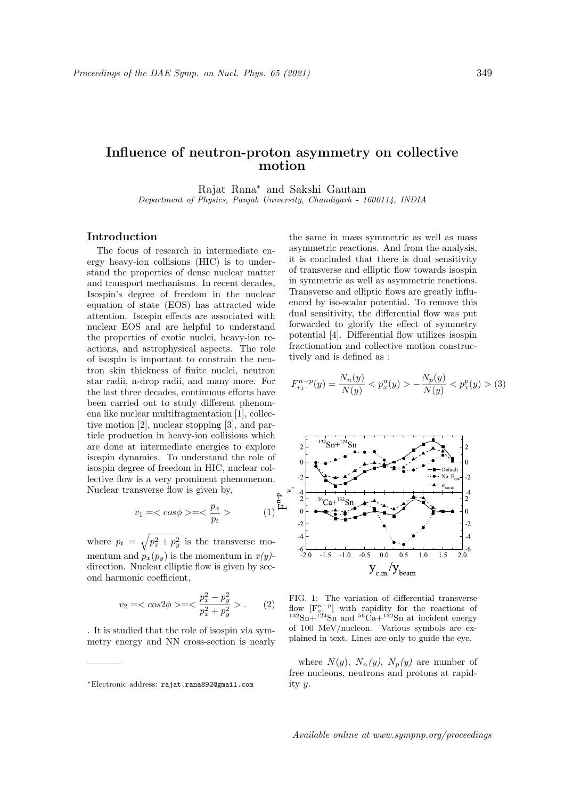## Influence of neutron-proton asymmetry on collective motion

Rajat Rana<sup>∗</sup> and Sakshi Gautam Department of Physics, Panjab University, Chandigarh - 1600114, INDIA

## Introduction

The focus of research in intermediate energy heavy-ion collisions (HIC) is to understand the properties of dense nuclear matter and transport mechanisms. In recent decades, Isospin's degree of freedom in the nuclear equation of state (EOS) has attracted wide attention. Isospin effects are associated with nuclear EOS and are helpful to understand the properties of exotic nuclei, heavy-ion reactions, and astrophysical aspects. The role of isospin is important to constrain the neutron skin thickness of finite nuclei, neutron star radii, n-drop radii, and many more. For the last three decades, continuous efforts have been carried out to study different phenomena like nuclear multifragmentation [1], collective motion [2], nuclear stopping [3], and particle production in heavy-ion collisions which are done at intermediate energies to explore isospin dynamics. To understand the role of isospin degree of freedom in HIC, nuclear collective flow is a very prominent phenomenon. Nuclear transverse flow is given by,

$$
v_1 = \langle \cos \phi \rangle = \langle \frac{p_x}{p_t} \rangle \qquad (1)^{\frac{p_x}{\mu}}
$$

where  $p_t = \sqrt{p_x^2 + p_y^2}$  is the transverse momentum and  $p_x(p_y)$  is the momentum in  $x(y)$ direction. Nuclear elliptic flow is given by second harmonic coefficient,

$$
v_2 = \langle \cos 2\phi \rangle = \langle \frac{p_x^2 - p_y^2}{p_x^2 + p_y^2} \rangle. \tag{2}
$$

. It is studied that the role of isospin via symmetry energy and NN cross-section is nearly the same in mass symmetric as well as mass asymmetric reactions. And from the analysis, it is concluded that there is dual sensitivity of transverse and elliptic flow towards isospin in symmetric as well as asymmetric reactions. Transverse and elliptic flows are greatly influenced by iso-scalar potential. To remove this dual sensitivity, the differential flow was put forwarded to glorify the effect of symmetry potential [4]. Differential flow utilizes isospin fractionation and collective motion constructively and is defined as :

$$
F_{v_1}^{n-p}(y) = \frac{N_n(y)}{N(y)} < p_x^n(y) > -\frac{N_p(y)}{N(y)} < p_x^p(y) > (3)
$$



FIG. 1: The variation of differential transverse flow  $[F_{\nu_{\mu}}^{n-p}]$  with rapidity for the reactions of  $132\text{Sn}+124\text{Sn}$  and  $56\text{Ca}+132\text{Sn}$  at incident energy of 100 MeV/nucleon. Various symbols are explained in text. Lines are only to guide the eye.

where  $N(y)$ ,  $N_n(y)$ ,  $N_p(y)$  are number of free nucleons, neutrons and protons at rapidity y.

<sup>∗</sup>Electronic address: rajat.rana892@gmail.com